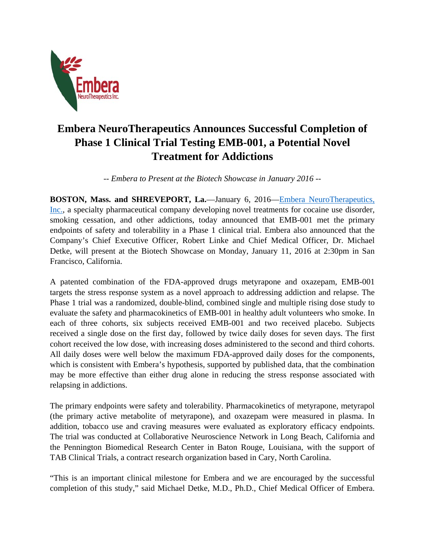

## **Embera NeuroTherapeutics Announces Successful Completion of Phase 1 Clinical Trial Testing EMB-001, a Potential Novel Treatment for Addictions**

*-- Embera to Present at the Biotech Showcase in January 2016 --* 

**BOSTON, Mass. and SHREVEPORT, La.**—January 6, 2016—Embera NeuroTherapeutics, Inc., a specialty pharmaceutical company developing novel treatments for cocaine use disorder, smoking cessation, and other addictions, today announced that EMB-001 met the primary endpoints of safety and tolerability in a Phase 1 clinical trial. Embera also announced that the Company's Chief Executive Officer, Robert Linke and Chief Medical Officer, Dr. Michael Detke, will present at the Biotech Showcase on Monday, January 11, 2016 at 2:30pm in San Francisco, California.

A patented combination of the FDA-approved drugs metyrapone and oxazepam, EMB-001 targets the stress response system as a novel approach to addressing addiction and relapse. The Phase 1 trial was a randomized, double-blind, combined single and multiple rising dose study to evaluate the safety and pharmacokinetics of EMB-001 in healthy adult volunteers who smoke. In each of three cohorts, six subjects received EMB-001 and two received placebo. Subjects received a single dose on the first day, followed by twice daily doses for seven days. The first cohort received the low dose, with increasing doses administered to the second and third cohorts. All daily doses were well below the maximum FDA-approved daily doses for the components, which is consistent with Embera's hypothesis, supported by published data, that the combination may be more effective than either drug alone in reducing the stress response associated with relapsing in addictions.

The primary endpoints were safety and tolerability. Pharmacokinetics of metyrapone, metyrapol (the primary active metabolite of metyrapone), and oxazepam were measured in plasma. In addition, tobacco use and craving measures were evaluated as exploratory efficacy endpoints. The trial was conducted at Collaborative Neuroscience Network in Long Beach, California and the Pennington Biomedical Research Center in Baton Rouge, Louisiana, with the support of TAB Clinical Trials, a contract research organization based in Cary, North Carolina.

"This is an important clinical milestone for Embera and we are encouraged by the successful completion of this study," said Michael Detke, M.D., Ph.D., Chief Medical Officer of Embera.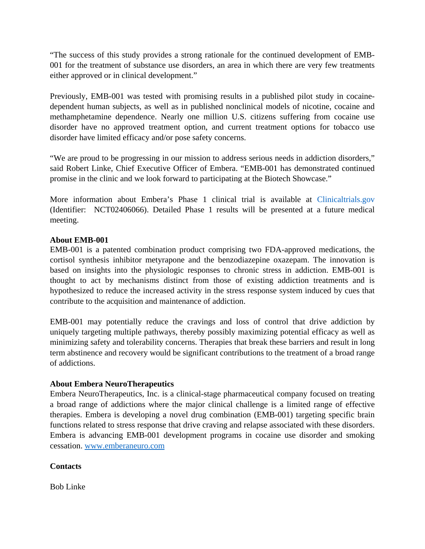"The success of this study provides a strong rationale for the continued development of EMB-001 for the treatment of substance use disorders, an area in which there are very few treatments either approved or in clinical development."

Previously, EMB-001 was tested with promising results in a published pilot study in cocainedependent human subjects, as well as in published nonclinical models of nicotine, cocaine and methamphetamine dependence. Nearly one million U.S. citizens suffering from cocaine use disorder have no approved treatment option, and current treatment options for tobacco use disorder have limited efficacy and/or pose safety concerns.

"We are proud to be progressing in our mission to address serious needs in addiction disorders," said Robert Linke, Chief Executive Officer of Embera. "EMB-001 has demonstrated continued promise in the clinic and we look forward to participating at the Biotech Showcase."

More information about Embera's Phase 1 clinical trial is available at Clinicaltrials.gov (Identifier: NCT02406066). Detailed Phase 1 results will be presented at a future medical meeting.

## **About EMB-001**

EMB-001 is a patented combination product comprising two FDA-approved medications, the cortisol synthesis inhibitor metyrapone and the benzodiazepine oxazepam. The innovation is based on insights into the physiologic responses to chronic stress in addiction. EMB-001 is thought to act by mechanisms distinct from those of existing addiction treatments and is hypothesized to reduce the increased activity in the stress response system induced by cues that contribute to the acquisition and maintenance of addiction.

EMB-001 may potentially reduce the cravings and loss of control that drive addiction by uniquely targeting multiple pathways, thereby possibly maximizing potential efficacy as well as minimizing safety and tolerability concerns. Therapies that break these barriers and result in long term abstinence and recovery would be significant contributions to the treatment of a broad range of addictions.

## **About Embera NeuroTherapeutics**

Embera NeuroTherapeutics, Inc. is a clinical-stage pharmaceutical company focused on treating a broad range of addictions where the major clinical challenge is a limited range of effective therapies. Embera is developing a novel drug combination (EMB-001) targeting specific brain functions related to stress response that drive craving and relapse associated with these disorders. Embera is advancing EMB-001 development programs in cocaine use disorder and smoking cessation. www.emberaneuro.com

## **Contacts**

Bob Linke